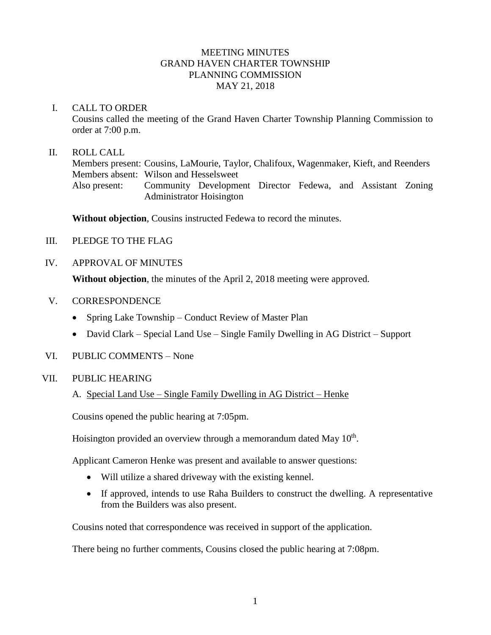## MEETING MINUTES GRAND HAVEN CHARTER TOWNSHIP PLANNING COMMISSION MAY 21, 2018

#### I. CALL TO ORDER

Cousins called the meeting of the Grand Haven Charter Township Planning Commission to order at 7:00 p.m.

#### II. ROLL CALL

Members present: Cousins, LaMourie, Taylor, Chalifoux, Wagenmaker, Kieft, and Reenders Members absent: Wilson and Hesselsweet Also present: Community Development Director Fedewa, and Assistant Zoning Administrator Hoisington

**Without objection**, Cousins instructed Fedewa to record the minutes.

- III. PLEDGE TO THE FLAG
- IV. APPROVAL OF MINUTES

**Without objection**, the minutes of the April 2, 2018 meeting were approved.

- V. CORRESPONDENCE
	- Spring Lake Township Conduct Review of Master Plan
	- David Clark Special Land Use Single Family Dwelling in AG District Support
- VI. PUBLIC COMMENTS None

#### VII. PUBLIC HEARING

A. Special Land Use – Single Family Dwelling in AG District – Henke

Cousins opened the public hearing at 7:05pm.

Hoisington provided an overview through a memorandum dated May  $10<sup>th</sup>$ .

Applicant Cameron Henke was present and available to answer questions:

- Will utilize a shared driveway with the existing kennel.
- If approved, intends to use Raha Builders to construct the dwelling. A representative from the Builders was also present.

Cousins noted that correspondence was received in support of the application.

There being no further comments, Cousins closed the public hearing at 7:08pm.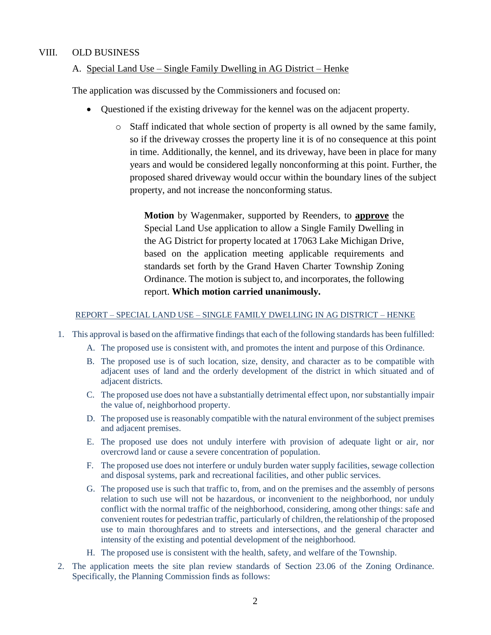## VIII. OLD BUSINESS

### A. Special Land Use – Single Family Dwelling in AG District – Henke

The application was discussed by the Commissioners and focused on:

- Questioned if the existing driveway for the kennel was on the adjacent property.
	- o Staff indicated that whole section of property is all owned by the same family, so if the driveway crosses the property line it is of no consequence at this point in time. Additionally, the kennel, and its driveway, have been in place for many years and would be considered legally nonconforming at this point. Further, the proposed shared driveway would occur within the boundary lines of the subject property, and not increase the nonconforming status.

**Motion** by Wagenmaker, supported by Reenders, to **approve** the Special Land Use application to allow a Single Family Dwelling in the AG District for property located at 17063 Lake Michigan Drive, based on the application meeting applicable requirements and standards set forth by the Grand Haven Charter Township Zoning Ordinance. The motion is subject to, and incorporates, the following report. **Which motion carried unanimously.**

#### REPORT – SPECIAL LAND USE – SINGLE FAMILY DWELLING IN AG DISTRICT – HENKE

- 1. This approval is based on the affirmative findings that each of the following standards has been fulfilled:
	- A. The proposed use is consistent with, and promotes the intent and purpose of this Ordinance.
	- B. The proposed use is of such location, size, density, and character as to be compatible with adjacent uses of land and the orderly development of the district in which situated and of adjacent districts.
	- C. The proposed use does not have a substantially detrimental effect upon, nor substantially impair the value of, neighborhood property.
	- D. The proposed use is reasonably compatible with the natural environment of the subject premises and adjacent premises.
	- E. The proposed use does not unduly interfere with provision of adequate light or air, nor overcrowd land or cause a severe concentration of population.
	- F. The proposed use does not interfere or unduly burden water supply facilities, sewage collection and disposal systems, park and recreational facilities, and other public services.
	- G. The proposed use is such that traffic to, from, and on the premises and the assembly of persons relation to such use will not be hazardous, or inconvenient to the neighborhood, nor unduly conflict with the normal traffic of the neighborhood, considering, among other things: safe and convenient routes for pedestrian traffic, particularly of children, the relationship of the proposed use to main thoroughfares and to streets and intersections, and the general character and intensity of the existing and potential development of the neighborhood.
	- H. The proposed use is consistent with the health, safety, and welfare of the Township.
- 2. The application meets the site plan review standards of Section 23.06 of the Zoning Ordinance. Specifically, the Planning Commission finds as follows: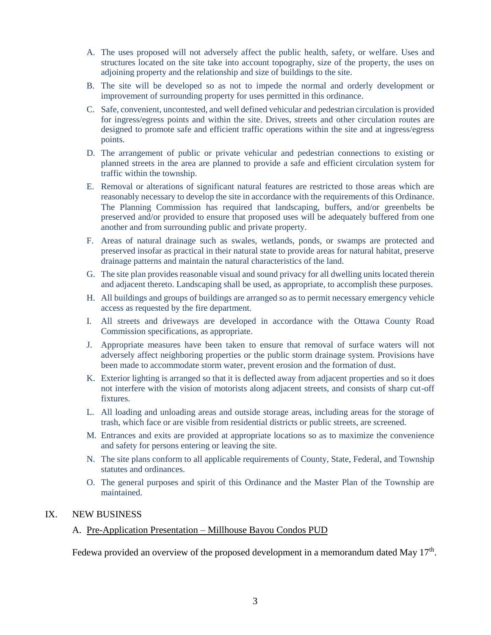- A. The uses proposed will not adversely affect the public health, safety, or welfare. Uses and structures located on the site take into account topography, size of the property, the uses on adjoining property and the relationship and size of buildings to the site.
- B. The site will be developed so as not to impede the normal and orderly development or improvement of surrounding property for uses permitted in this ordinance.
- C. Safe, convenient, uncontested, and well defined vehicular and pedestrian circulation is provided for ingress/egress points and within the site. Drives, streets and other circulation routes are designed to promote safe and efficient traffic operations within the site and at ingress/egress points.
- D. The arrangement of public or private vehicular and pedestrian connections to existing or planned streets in the area are planned to provide a safe and efficient circulation system for traffic within the township.
- E. Removal or alterations of significant natural features are restricted to those areas which are reasonably necessary to develop the site in accordance with the requirements of this Ordinance. The Planning Commission has required that landscaping, buffers, and/or greenbelts be preserved and/or provided to ensure that proposed uses will be adequately buffered from one another and from surrounding public and private property.
- F. Areas of natural drainage such as swales, wetlands, ponds, or swamps are protected and preserved insofar as practical in their natural state to provide areas for natural habitat, preserve drainage patterns and maintain the natural characteristics of the land.
- G. The site plan provides reasonable visual and sound privacy for all dwelling units located therein and adjacent thereto. Landscaping shall be used, as appropriate, to accomplish these purposes.
- H. All buildings and groups of buildings are arranged so as to permit necessary emergency vehicle access as requested by the fire department.
- I. All streets and driveways are developed in accordance with the Ottawa County Road Commission specifications, as appropriate.
- J. Appropriate measures have been taken to ensure that removal of surface waters will not adversely affect neighboring properties or the public storm drainage system. Provisions have been made to accommodate storm water, prevent erosion and the formation of dust.
- K. Exterior lighting is arranged so that it is deflected away from adjacent properties and so it does not interfere with the vision of motorists along adjacent streets, and consists of sharp cut-off fixtures.
- L. All loading and unloading areas and outside storage areas, including areas for the storage of trash, which face or are visible from residential districts or public streets, are screened.
- M. Entrances and exits are provided at appropriate locations so as to maximize the convenience and safety for persons entering or leaving the site.
- N. The site plans conform to all applicable requirements of County, State, Federal, and Township statutes and ordinances.
- O. The general purposes and spirit of this Ordinance and the Master Plan of the Township are maintained.

#### IX. NEW BUSINESS

#### A. Pre-Application Presentation – Millhouse Bayou Condos PUD

Fedewa provided an overview of the proposed development in a memorandum dated May  $17<sup>th</sup>$ .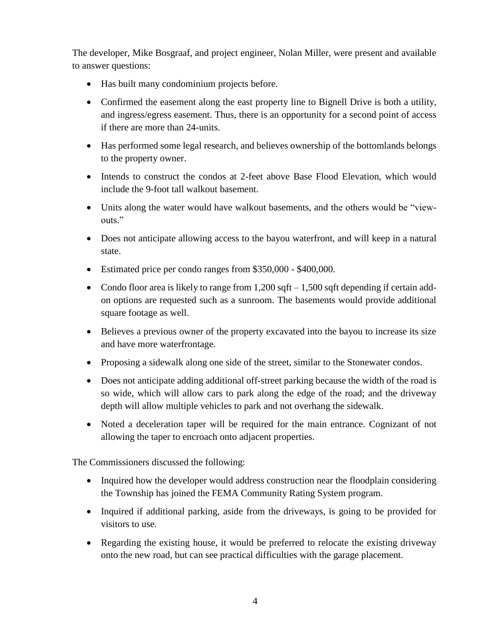The developer, Mike Bosgraaf, and project engineer, Nolan Miller, were present and available to answer questions:

- Has built many condominium projects before.
- Confirmed the easement along the east property line to Bignell Drive is both a utility, and ingress/egress easement. Thus, there is an opportunity for a second point of access if there are more than 24-units.
- Has performed some legal research, and believes ownership of the bottomlands belongs to the property owner.
- Intends to construct the condos at 2-feet above Base Flood Elevation, which would include the 9-foot tall walkout basement.
- Units along the water would have walkout basements, and the others would be "viewouts."
- Does not anticipate allowing access to the bayou waterfront, and will keep in a natural state.
- Estimated price per condo ranges from \$350,000 \$400,000.
- Condo floor area is likely to range from  $1,200$  sqft  $-1,500$  sqft depending if certain addon options are requested such as a sunroom. The basements would provide additional square footage as well.
- Believes a previous owner of the property excavated into the bayou to increase its size and have more waterfrontage.
- Proposing a sidewalk along one side of the street, similar to the Stonewater condos.
- Does not anticipate adding additional off-street parking because the width of the road is so wide, which will allow cars to park along the edge of the road; and the driveway depth will allow multiple vehicles to park and not overhang the sidewalk.
- Noted a deceleration taper will be required for the main entrance. Cognizant of not allowing the taper to encroach onto adjacent properties.

The Commissioners discussed the following:

- Inquired how the developer would address construction near the floodplain considering the Township has joined the FEMA Community Rating System program.
- Inquired if additional parking, aside from the driveways, is going to be provided for visitors to use.
- Regarding the existing house, it would be preferred to relocate the existing driveway onto the new road, but can see practical difficulties with the garage placement.